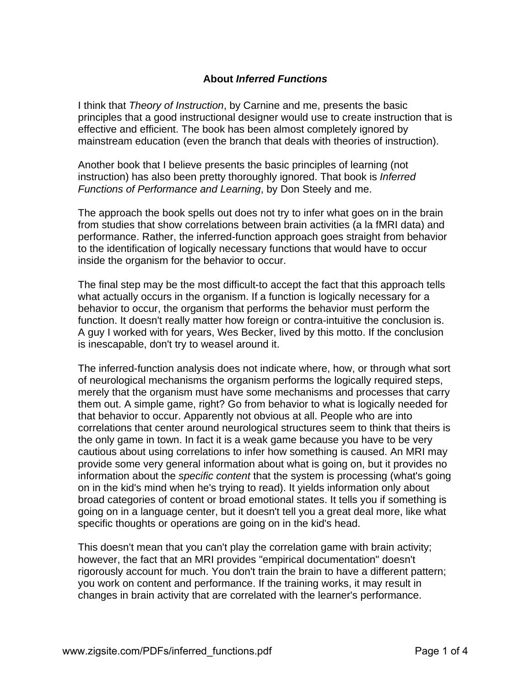## **About** *Inferred Functions*

I think that *Theory of Instruction*, by Carnine and me, presents the basic principles that a good instructional designer would use to create instruction that is effective and efficient. The book has been almost completely ignored by mainstream education (even the branch that deals with theories of instruction).

Another book that I believe presents the basic principles of learning (not instruction) has also been pretty thoroughly ignored. That book is *Inferred Functions of Performance and Learning*, by Don Steely and me.

The approach the book spells out does not try to infer what goes on in the brain from studies that show correlations between brain activities (a la fMRI data) and performance. Rather, the inferred-function approach goes straight from behavior to the identification of logically necessary functions that would have to occur inside the organism for the behavior to occur.

The final step may be the most difficult-to accept the fact that this approach tells what actually occurs in the organism. If a function is logically necessary for a behavior to occur, the organism that performs the behavior must perform the function. It doesn't really matter how foreign or contra-intuitive the conclusion is. A guy I worked with for years, Wes Becker, lived by this motto. If the conclusion is inescapable, don't try to weasel around it.

The inferred-function analysis does not indicate where, how, or through what sort of neurological mechanisms the organism performs the logically required steps, merely that the organism must have some mechanisms and processes that carry them out. A simple game, right? Go from behavior to what is logically needed for that behavior to occur. Apparently not obvious at all. People who are into correlations that center around neurological structures seem to think that theirs is the only game in town. In fact it is a weak game because you have to be very cautious about using correlations to infer how something is caused. An MRI may provide some very general information about what is going on, but it provides no information about the *specific content* that the system is processing (what's going on in the kid's mind when he's trying to read). It yields information only about broad categories of content or broad emotional states. It tells you if something is going on in a language center, but it doesn't tell you a great deal more, like what specific thoughts or operations are going on in the kid's head.

This doesn't mean that you can't play the correlation game with brain activity; however, the fact that an MRI provides "empirical documentation" doesn't rigorously account for much. You don't train the brain to have a different pattern; you work on content and performance. If the training works, it may result in changes in brain activity that are correlated with the learner's performance.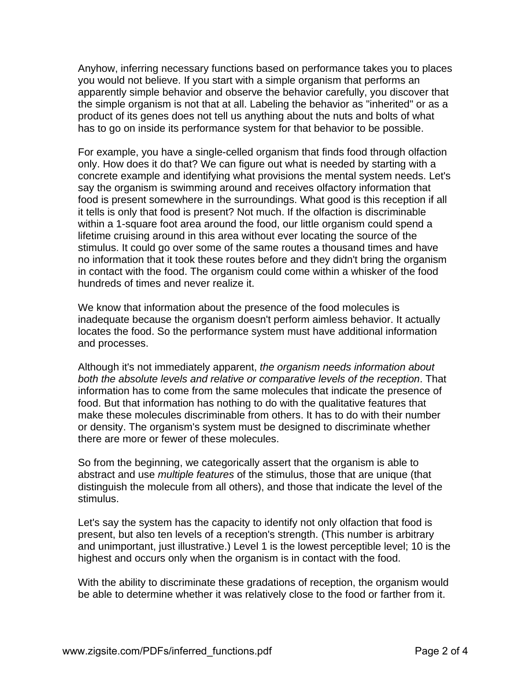Anyhow, inferring necessary functions based on performance takes you to places you would not believe. If you start with a simple organism that performs an apparently simple behavior and observe the behavior carefully, you discover that the simple organism is not that at all. Labeling the behavior as "inherited" or as a product of its genes does not tell us anything about the nuts and bolts of what has to go on inside its performance system for that behavior to be possible.

For example, you have a single-celled organism that finds food through olfaction only. How does it do that? We can figure out what is needed by starting with a concrete example and identifying what provisions the mental system needs. Let's say the organism is swimming around and receives olfactory information that food is present somewhere in the surroundings. What good is this reception if all it tells is only that food is present? Not much. If the olfaction is discriminable within a 1-square foot area around the food, our little organism could spend a lifetime cruising around in this area without ever locating the source of the stimulus. It could go over some of the same routes a thousand times and have no information that it took these routes before and they didn't bring the organism in contact with the food. The organism could come within a whisker of the food hundreds of times and never realize it.

We know that information about the presence of the food molecules is inadequate because the organism doesn't perform aimless behavior. It actually locates the food. So the performance system must have additional information and processes.

Although it's not immediately apparent, *the organism needs information about both the absolute levels and relative or comparative levels of the reception*. That information has to come from the same molecules that indicate the presence of food. But that information has nothing to do with the qualitative features that make these molecules discriminable from others. It has to do with their number or density. The organism's system must be designed to discriminate whether there are more or fewer of these molecules.

So from the beginning, we categorically assert that the organism is able to abstract and use *multiple features* of the stimulus, those that are unique (that distinguish the molecule from all others), and those that indicate the level of the stimulus.

Let's say the system has the capacity to identify not only olfaction that food is present, but also ten levels of a reception's strength. (This number is arbitrary and unimportant, just illustrative.) Level 1 is the lowest perceptible level; 10 is the highest and occurs only when the organism is in contact with the food.

With the ability to discriminate these gradations of reception, the organism would be able to determine whether it was relatively close to the food or farther from it.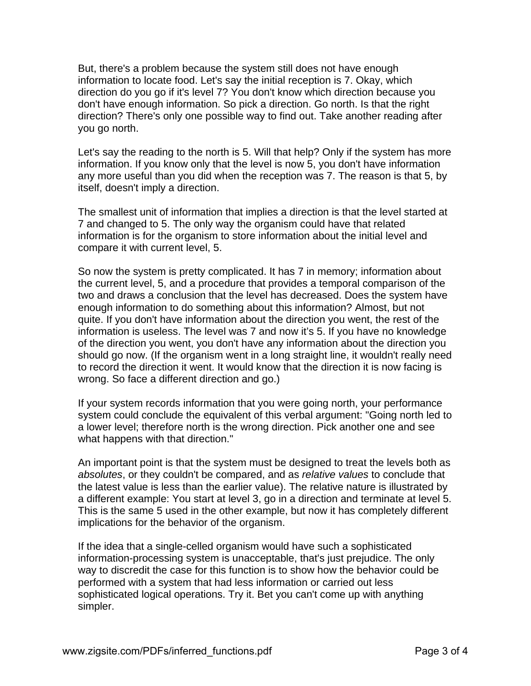But, there's a problem because the system still does not have enough information to locate food. Let's say the initial reception is 7. Okay, which direction do you go if it's level 7? You don't know which direction because you don't have enough information. So pick a direction. Go north. Is that the right direction? There's only one possible way to find out. Take another reading after you go north.

Let's say the reading to the north is 5. Will that help? Only if the system has more information. If you know only that the level is now 5, you don't have information any more useful than you did when the reception was 7. The reason is that 5, by itself, doesn't imply a direction.

The smallest unit of information that implies a direction is that the level started at 7 and changed to 5. The only way the organism could have that related information is for the organism to store information about the initial level and compare it with current level, 5.

So now the system is pretty complicated. It has 7 in memory; information about the current level, 5, and a procedure that provides a temporal comparison of the two and draws a conclusion that the level has decreased. Does the system have enough information to do something about this information? Almost, but not quite. If you don't have information about the direction you went, the rest of the information is useless. The level was 7 and now it's 5. If you have no knowledge of the direction you went, you don't have any information about the direction you should go now. (If the organism went in a long straight line, it wouldn't really need to record the direction it went. It would know that the direction it is now facing is wrong. So face a different direction and go.)

If your system records information that you were going north, your performance system could conclude the equivalent of this verbal argument: "Going north led to a lower level; therefore north is the wrong direction. Pick another one and see what happens with that direction."

An important point is that the system must be designed to treat the levels both as *absolutes*, or they couldn't be compared, and as *relative values* to conclude that the latest value is less than the earlier value). The relative nature is illustrated by a different example: You start at level 3, go in a direction and terminate at level 5. This is the same 5 used in the other example, but now it has completely different implications for the behavior of the organism.

If the idea that a single-celled organism would have such a sophisticated information-processing system is unacceptable, that's just prejudice. The only way to discredit the case for this function is to show how the behavior could be performed with a system that had less information or carried out less sophisticated logical operations. Try it. Bet you can't come up with anything simpler.